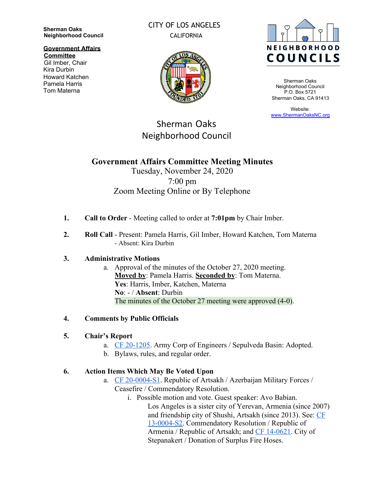**Sherman Oaks Neighborhood Council**

**Government Affairs Committee**

Gil Imber, Chair Kira Durbin Howard Katchen Pamela Harris Tom Materna

### CITY OF LOS ANGELES **CALIFORNIA**



Sherman Oaks Neighborhood Council P.O. Box 5721 Sherman Oaks, CA 91413

Website: [www.ShermanOaksNC.org](http://www.shermanoaksnc.org/)

# Sherman Oaks Neighborhood Council

# **Government Affairs Committee Meeting Minutes**

# Tuesday, November 24, 2020 7:00 pm Zoom Meeting Online or By Telephone

- **1. Call to Order**  Meeting called to order at **7:01pm** by Chair Imber.
- **2. Roll Call** Present: Pamela Harris, Gil Imber, Howard Katchen, Tom Materna - Absent: Kira Durbin

#### **3. Administrative Motions**

a. Approval of the minutes of the October 27, 2020 meeting. **Moved by**: Pamela Harris. **Seconded by**: Tom Materna. **Yes**: Harris, Imber, Katchen, Materna **No**: - / **Absent**: Durbin The minutes of the October 27 meeting were approved (4-0).

#### **4. Comments by Public Officials**

#### **5. Chair's Report**

- a. [CF 20-1205](https://cityclerk.lacity.org/lacityclerkconnect/index.cfm?fa=ccfi.viewrecord&cfnumber=20-1205). Army Corp of Engineers / Sepulveda Basin: Adopted.
- b. Bylaws, rules, and regular order.

### **6. Action Items Which May Be Voted Upon**

- a. [CF 20-0004-S1](https://cityclerk.lacity.org/lacityclerkconnect/index.cfm?fa=ccfi.viewrecord&cfnumber=20-0004-S1). Republic of Artsakh / Azerbaijan Military Forces / Ceasefire / Commendatory Resolution.
	- i. Possible motion and vote. Guest speaker: Avo Babian. Los Angeles is a sister city of Yerevan, Armenia (since 2007) and friendship city of Shushi, Artsakh (since 2013). See: [CF](http://clkrep.lacity.org/onlinedocs/2013/13-0004-s2_misc_9-10-13.pdf) [13-0004-S2.](http://clkrep.lacity.org/onlinedocs/2013/13-0004-s2_misc_9-10-13.pdf) Commendatory Resolution / Republic of Armenia / Republic of Artsakh; and [CF 14-0621.](https://cityclerk.lacity.org/lacityclerkconnect/index.cfm?fa=ccfi.viewrecord&cfnumber=14-0621) City of Stepanakert / Donation of Surplus Fire Hoses.

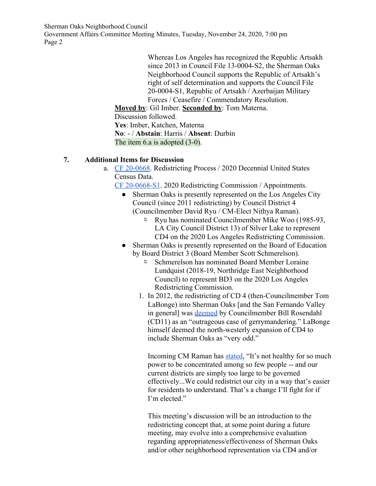Sherman Oaks Neighborhood Council

Government Affairs Committee Meeting Minutes, Tuesday, November 24, 2020, 7:00 pm Page 2

> Whereas Los Angeles has recognized the Republic Artsakh since 2013 in Council File 13-0004-S2, the Sherman Oaks Neighborhood Council supports the Republic of Artsakh's right of self determination and supports the Council File 20-0004-S1, Republic of Artsakh / Azerbaijan Military Forces / Ceasefire / Commendatory Resolution.

**Moved by**: Gil Imber. **Seconded by**: Tom Materna. Discussion followed. **Yes**: Imber, Katchen, Materna **No**: - / **Abstain**: Harris / **Absent**: Durbin The item 6.a is adopted  $(3-0)$ .

#### **7. Additional Items for Discussion**

- a. [CF 20-0668](https://cityclerk.lacity.org/lacityclerkconnect/index.cfm?fa=ccfi.viewrecord&cfnumber=20-0668). Redistricting Process / 2020 Decennial United States Census Data.
	- [CF 20-0668-S1](https://cityclerk.lacity.org/lacityclerkconnect/index.cfm?fa=ccfi.viewrecord&cfnumber=20-0668-S1). 2020 Redistricting Commission / Appointments.
		- Sherman Oaks is presently represented on the Los Angeles City Council (since 2011 redistricting) by Council District 4 (Councilmember David Ryu / CM-Elect Nithya Raman).
			- ♮ Ryu has nominated Councilmember Mike Woo (1985-93, LA City Council District 13) of Silver Lake to represent CD4 on the 2020 Los Angeles Redistricting Commission.
		- Sherman Oaks is presently represented on the Board of Education by Board District 3 (Board Member Scott Schmerelson).
			- ♮ Schmerelson has nominated Board Member Loraine Lundquist (2018-19, Northridge East Neighborhood Council) to represent BD3 on the 2020 Los Angeles Redistricting Commission.
			- 1. In 2012, the redistricting of CD 4 (then-Councilmember Tom LaBonge) into Sherman Oaks [and the San Fernando Valley in general] was [deemed](https://latimesblogs.latimes.com/lanow/2012/01/redistricting-los-angeles-city-maps-.html) by Councilmember Bill Rosendahl (CD11) as an "outrageous case of gerrymandering." LaBonge himself deemed the north-westerly expansion of CD4 to include Sherman Oaks as "very odd."

Incoming CM Raman has [stated](https://twitter.com/nithyavraman/status/1318258318528270336), "It's not healthy for so much power to be concentrated among so few people -- and our current districts are simply too large to be governed effectively...We could redistrict our city in a way that's easier for residents to understand. That's a change I'll fight for if I'm elected."

This meeting's discussion will be an introduction to the redistricting concept that, at some point during a future meeting, may evolve into a comprehensive evaluation regarding appropriateness/effectiveness of Sherman Oaks and/or other neighborhood representation via CD4 and/or